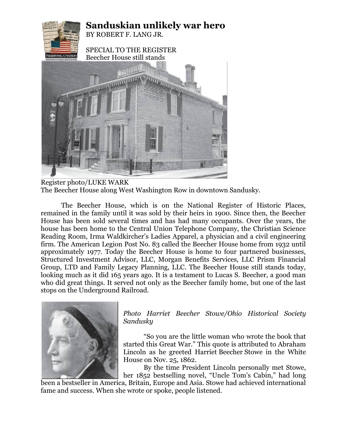

Register photo/LUKE WARK The Beecher House along West Washington Row in downtown Sandusky.

The Beecher House, which is on the National Register of Historic Places, remained in the family until it was sold by their heirs in 1900. Since then, the Beecher House has been sold several times and has had many occupants. Over the years, the house has been home to the Central Union Telephone Company, the Christian Science Reading Room, Irma Waldkircher's Ladies Apparel, a physician and a civil engineering firm. The American Legion Post No. 83 called the Beecher House home from 1932 until approximately 1977. Today the Beecher House is home to four partnered businesses, Structured Investment Advisor, LLC, Morgan Benefits Services, LLC Prism Financial Group, LTD and Family Legacy Planning, LLC. The Beecher House still stands today, looking much as it did 165 years ago. It is a testament to Lucas S. Beecher, a good man who did great things. It served not only as the Beecher family home, but one of the last stops on the Underground Railroad.



*Photo Harriet Beecher Stowe/Ohio Historical Society Sandusky*

"So you are the little woman who wrote the book that started this Great War." This quote is attributed to Abraham Lincoln as he greeted Harriet Beecher Stowe in the White House on Nov. 25, 1862.

By the time President Lincoln personally met Stowe, her 1852 bestselling novel, "Uncle Tom's Cabin," had long

been a bestseller in America, Britain, Europe and Asia. Stowe had achieved international fame and success. When she wrote or spoke, people listened.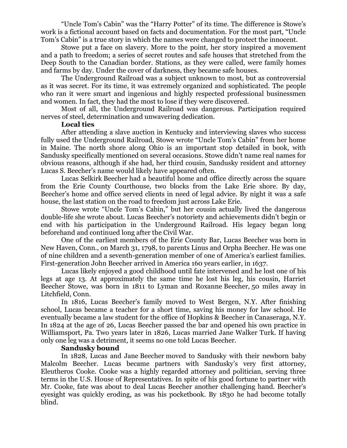"Uncle Tom's Cabin" was the "Harry Potter" of its time. The difference is Stowe's work is a fictional account based on facts and documentation. For the most part, "Uncle Tom's Cabin" is a true story in which the names were changed to protect the innocent.

Stowe put a face on slavery. More to the point, her story inspired a movement and a path to freedom; a series of secret routes and safe houses that stretched from the Deep South to the Canadian border. Stations, as they were called, were family homes and farms by day. Under the cover of darkness, they became safe houses.

The Underground Railroad was a subject unknown to most, but as controversial as it was secret. For its time, it was extremely organized and sophisticated. The people who ran it were smart and ingenious and highly respected professional businessmen and women. In fact, they had the most to lose if they were discovered.

Most of all, the Underground Railroad was dangerous. Participation required nerves of steel, determination and unwavering dedication.

## **Local ties**

After attending a slave auction in Kentucky and interviewing slaves who success fully used the Underground Railroad, Stowe wrote "Uncle Tom's Cabin" from her home in Maine. The north shore along Ohio is an important stop detailed in book, with Sandusky specifically mentioned on several occasions. Stowe didn't name real names for obvious reasons, although if she had, her third cousin, Sandusky resident and attorney Lucas S. Beecher's name would likely have appeared often.

Lucas Selkirk Beecher had a beautiful home and office directly across the square from the Erie County Courthouse, two blocks from the Lake Erie shore. By day, Beecher's home and office served clients in need of legal advice. By night it was a safe house, the last station on the road to freedom just across Lake Erie.

Stowe wrote "Uncle Tom's Cabin," but her cousin actually lived the dangerous double-life she wrote about. Lucas Beecher's notoriety and achievements didn't begin or end with his participation in the Underground Railroad. His legacy began long beforehand and continued long after the Civil War.

One of the earliest members of the Erie County Bar, Lucas Beecher was born in New Haven, Conn., on March 31, 1798, to parents Linus and Orpha Beecher. He was one of nine children and a seventh-generation member of one of America's earliest families. First-generation John Beecher arrived in America 160 years earlier, in 1637.

Lucas likely enjoyed a good childhood until fate intervened and he lost one of his legs at age 13. At approximately the same time he lost his leg, his cousin, Harriet Beecher Stowe, was born in 1811 to Lyman and Roxanne Beecher, 50 miles away in Litchfield, Conn.

In 1816, Lucas Beecher's family moved to West Bergen, N.Y. After finishing school, Lucas became a teacher for a short time, saving his money for law school. He eventually became a law student for the office of Hopkins & Beecher in Canaseraga, N.Y. In 1824 at the age of 26, Lucas Beecher passed the bar and opened his own practice in Williamsport, Pa. Two years later in 1826, Lucas married Jane Walker Turk. If having only one leg was a detriment, it seems no one told Lucas Beecher.

## **Sandusky bound**

In 1828, Lucas and Jane Beecher moved to Sandusky with their newborn baby Malcolm Beecher. Lucas became partners with Sandusky's very first attorney, Eleutheros Cooke. Cooke was a highly regarded attorney and politician, serving three terms in the U.S. House of Representatives. In spite of his good fortune to partner with Mr. Cooke, fate was about to deal Lucas Beecher another challenging hand. Beecher's eyesight was quickly eroding, as was his pocketbook. By 1830 he had become totally blind.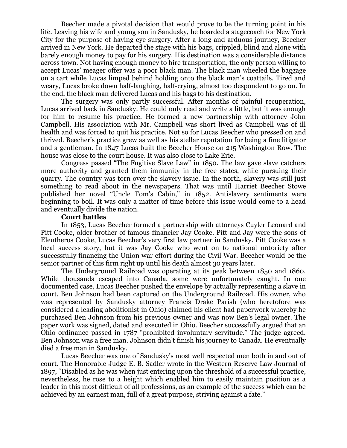Beecher made a pivotal decision that would prove to be the turning point in his life. Leaving his wife and young son in Sandusky, he boarded a stagecoach for New York City for the purpose of having eye surgery. After a long and arduous journey, Beecher arrived in New York. He departed the stage with his bags, crippled, blind and alone with barely enough money to pay for his surgery. His destination was a considerable distance across town. Not having enough money to hire transportation, the only person willing to accept Lucas' meager offer was a poor black man. The black man wheeled the baggage on a cart while Lucas limped behind holding onto the black man's coattails. Tired and weary, Lucas broke down half-laughing, half-crying, almost too despondent to go on. In the end, the black man delivered Lucas and his bags to his destination.

The surgery was only partly successful. After months of painful recuperation, Lucas arrived back in Sandusky. He could only read and write a little, but it was enough for him to resume his practice. He formed a new partnership with attorney John Campbell. His association with Mr. Campbell was short lived as Campbell was of ill health and was forced to quit his practice. Not so for Lucas Beecher who pressed on and thrived. Beecher's practice grew as well as his stellar reputation for being a fine litigator and a gentleman. In 1847 Lucas built the Beecher House on 215 Washington Row. The house was close to the court house. It was also close to Lake Erie.

Congress passed "The Fugitive Slave Law" in 1850. The law gave slave catchers more authority and granted them immunity in the free states, while pursuing their quarry. The country was torn over the slavery issue. In the north, slavery was still just something to read about in the newspapers. That was until Harriet Beecher Stowe published her novel "Uncle Tom's Cabin," in 1852. Antislavery sentiments were beginning to boil. It was only a matter of time before this issue would come to a head and eventually divide the nation.

## **Court battles**

In 1853, Lucas Beecher formed a partnership with attorneys Cuyler Leonard and Pitt Cooke, older brother of famous financier Jay Cooke. Pitt and Jay were the sons of Eleutheros Cooke, Lucas Beecher's very first law partner in Sandusky. Pitt Cooke was a local success story, but it was Jay Cooke who went on to national notoriety after successfully financing the Union war effort during the Civil War. Beecher would be the senior partner of this firm right up until his death almost 30 years later.

The Underground Railroad was operating at its peak between 1850 and 1860. While thousands escaped into Canada, some were unfortunately caught. In one documented case, Lucas Beecher pushed the envelope by actually representing a slave in court. Ben Johnson had been captured on the Underground Railroad. His owner, who was represented by Sandusky attorney Francis Drake Parish (who heretofore was considered a leading abolitionist in Ohio) claimed his client had paperwork whereby he purchased Ben Johnson from his previous owner and was now Ben's legal owner. The paper work was signed, dated and executed in Ohio. Beecher successfully argued that an Ohio ordinance passed in 1787 "prohibited involuntary servitude." The judge agreed. Ben Johnson was a free man. Johnson didn't finish his journey to Canada. He eventually died a free man in Sandusky.

Lucas Beecher was one of Sandusky's most well respected men both in and out of court. The Honorable Judge E. B. Sadler wrote in the Western Reserve Law Journal of 1897, "Disabled as he was when just entering upon the threshold of a successful practice, nevertheless, he rose to a height which enabled him to easily maintain position as a leader in this most difficult of all professions, as an example of the success which can be achieved by an earnest man, full of a great purpose, striving against a fate."